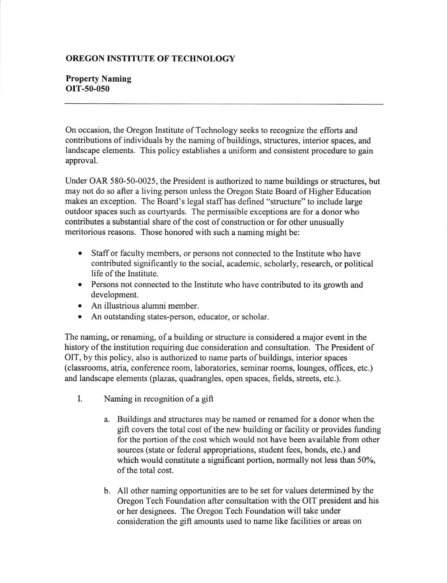## OREGON INSTITUTE OF TECHNOLOGY

## Property Naming OIT-50-050

On occasion, the Oregon Institute of Technology seeks to recognize the efforts and contributions of individuals by the naming of buildings, structures, interior spaces, and landscape elements. This policy establishes a uniform and consistent procedure to gain approval.

Under OAR 580-50-0025, the President is authorized to name buildings or structures, but may not do so after a living person unless the Oregon State Board of Higher Education makes an exception. The Board's legal staffhas defined "structure" to include large outdoor spaces such as courtyards. The permissible exceptions are for a donor who contributes a substantial share of the cost of construction or for other unusually meritorious reasons. Those honored with such a naming might be:

- . Staff or faculty memben, or persons not connected to the lnstitute who have contributed significantly to the social, academic, scholarly, research, or political life of the Institute.
- Persons not connected to the Institute who have contributed to its growth and development.
- . An illustrious alumni member.
- An outstanding states-person, educator, or scholar.

The naming, or renaming, of a building or structure is considered a major event in the history of the institution requiring due consideration and consultation. The President of OIT, by this policy, also is authorized to name parts of buildings, interior spaces (classrooms, atria, conference room, laboratories, seminar rooms, lounges, offices, etc.) and landscape elements (plazas, quadrangles, open spaces, fields, streets, etc.).

- I. Naming in recognition of a gift
	- a. Buildings and structures may be named or renamed for a donor when the gift covers the total cost of the new building or facility or provides funding for the portion of the cost which would not have been available from other sources (state or federal appropriations, student fees, bonds, etc.) and which would constitute a significant portion, normally not less than 50%, of the total cost.
	- b. All other naming opportunities are to be set for values determined by the Oregon Tech Foundation after consultation with the OIT president and his or her designees. The Oregon Tech Foundation will take under consideration the gift amounts used to name like facilities or areas on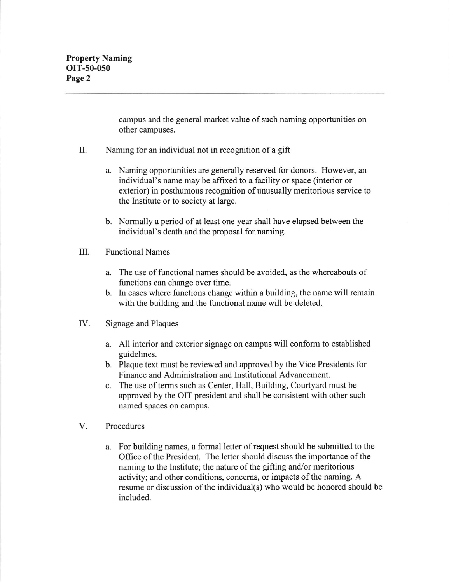campus and the general market value of such naming opportunities on other campuses.

- II. Naming for an individual not in recognition of a gift
	- a. Naming opportunities are generally reserved for donors. However, an individual's name may be affixed to a facility or space (interior or exterior) in posthumous recognition of unusually meritorious service to the Institute or to society at large.
	- b. Normally a period of at least one year shall have elapsed between the individual's death and the proposal for naming.
- III. Functional Names
	- a. The use of functional names should be avoided, as the whereabouts of functions can change over time.
	- b. In cases where functions change within a building, the name will remain with the building and the functional name will be deleted.
- IV. Signage and Plaques
	- a. All interior and exterior signage on campus will conform to established guidelines.
	- b. Plaque text must be reviewed and approved by the Vice Presidents for Finance and Administration and lnstitutional Advancement.
	- c. The use of terms such as Center, Hall, Building, Courtyard must be approved by the OIT president and shall be consistent with other such named spaces on campus.
- V. Procedures
	- a. For building names, a formal letter of request should be submitted to the Office of the President. The letter should discuss the importance of the naming to the Institute; the nature of the gifting and/or meritorious activity; and other conditions, concerns, or impacts of the naming. A resume or discussion of the individual(s) who would be honored should be included.